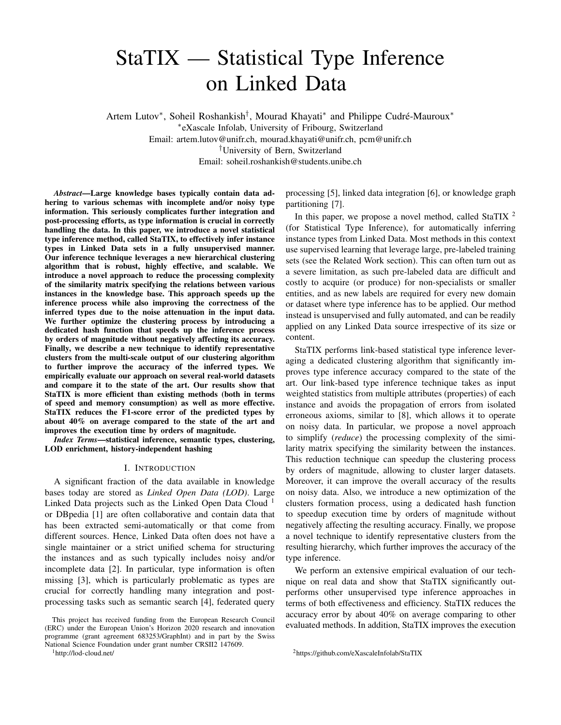# StaTIX — Statistical Type Inference on Linked Data

Artem Lutov\*, Soheil Roshankish<sup>†</sup>, Mourad Khayati\* and Philippe Cudré-Mauroux\* ∗ eXascale Infolab, University of Fribourg, Switzerland Email: artem.lutov@unifr.ch, mourad.khayati@unifr.ch, pcm@unifr.ch †University of Bern, Switzerland Email: soheil.roshankish@students.unibe.ch

*Abstract*—Large knowledge bases typically contain data adhering to various schemas with incomplete and/or noisy type information. This seriously complicates further integration and post-processing efforts, as type information is crucial in correctly handling the data. In this paper, we introduce a novel statistical type inference method, called StaTIX, to effectively infer instance types in Linked Data sets in a fully unsupervised manner. Our inference technique leverages a new hierarchical clustering algorithm that is robust, highly effective, and scalable. We introduce a novel approach to reduce the processing complexity of the similarity matrix specifying the relations between various instances in the knowledge base. This approach speeds up the inference process while also improving the correctness of the inferred types due to the noise attenuation in the input data. We further optimize the clustering process by introducing a dedicated hash function that speeds up the inference process by orders of magnitude without negatively affecting its accuracy. Finally, we describe a new technique to identify representative clusters from the multi-scale output of our clustering algorithm to further improve the accuracy of the inferred types. We empirically evaluate our approach on several real-world datasets and compare it to the state of the art. Our results show that StaTIX is more efficient than existing methods (both in terms of speed and memory consumption) as well as more effective. StaTIX reduces the F1-score error of the predicted types by about 40% on average compared to the state of the art and improves the execution time by orders of magnitude.

*Index Terms*—statistical inference, semantic types, clustering, LOD enrichment, history-independent hashing

#### I. INTRODUCTION

A significant fraction of the data available in knowledge bases today are stored as *Linked Open Data (LOD)*. Large Linked Data projects such as the Linked Open Data Cloud<sup>1</sup> or DBpedia [1] are often collaborative and contain data that has been extracted semi-automatically or that come from different sources. Hence, Linked Data often does not have a single maintainer or a strict unified schema for structuring the instances and as such typically includes noisy and/or incomplete data [2]. In particular, type information is often missing [3], which is particularly problematic as types are crucial for correctly handling many integration and postprocessing tasks such as semantic search [4], federated query

<sup>1</sup>http://lod-cloud.net/

processing [5], linked data integration [6], or knowledge graph partitioning [7].

In this paper, we propose a novel method, called StaTIX<sup>2</sup> (for Statistical Type Inference), for automatically inferring instance types from Linked Data. Most methods in this context use supervised learning that leverage large, pre-labeled training sets (see the Related Work section). This can often turn out as a severe limitation, as such pre-labeled data are difficult and costly to acquire (or produce) for non-specialists or smaller entities, and as new labels are required for every new domain or dataset where type inference has to be applied. Our method instead is unsupervised and fully automated, and can be readily applied on any Linked Data source irrespective of its size or content.

StaTIX performs link-based statistical type inference leveraging a dedicated clustering algorithm that significantly improves type inference accuracy compared to the state of the art. Our link-based type inference technique takes as input weighted statistics from multiple attributes (properties) of each instance and avoids the propagation of errors from isolated erroneous axioms, similar to [8], which allows it to operate on noisy data. In particular, we propose a novel approach to simplify (*reduce*) the processing complexity of the similarity matrix specifying the similarity between the instances. This reduction technique can speedup the clustering process by orders of magnitude, allowing to cluster larger datasets. Moreover, it can improve the overall accuracy of the results on noisy data. Also, we introduce a new optimization of the clusters formation process, using a dedicated hash function to speedup execution time by orders of magnitude without negatively affecting the resulting accuracy. Finally, we propose a novel technique to identify representative clusters from the resulting hierarchy, which further improves the accuracy of the type inference.

We perform an extensive empirical evaluation of our technique on real data and show that StaTIX significantly outperforms other unsupervised type inference approaches in terms of both effectiveness and efficiency. StaTIX reduces the accuracy error by about 40% on average comparing to other evaluated methods. In addition, StaTIX improves the execution

<sup>2</sup>https://github.com/eXascaleInfolab/StaTIX

This project has received funding from the European Research Council (ERC) under the European Union's Horizon 2020 research and innovation programme (grant agreement 683253/GraphInt) and in part by the Swiss National Science Foundation under grant number CRSII2 147609.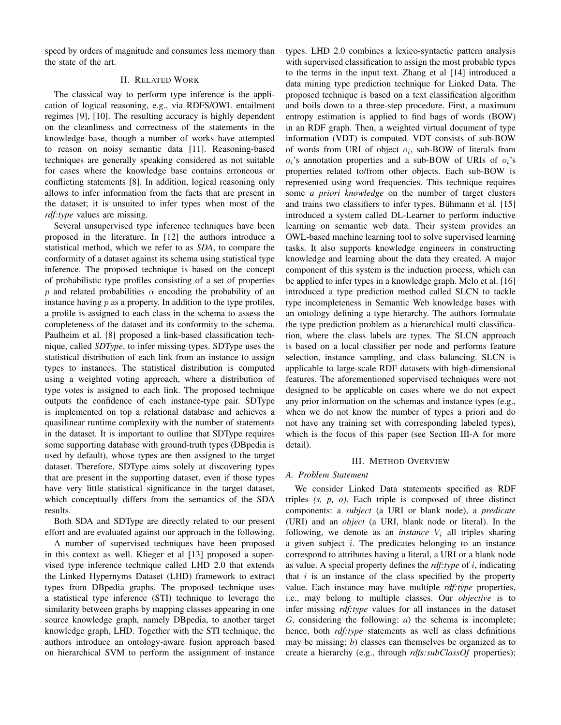speed by orders of magnitude and consumes less memory than the state of the art.

# II. RELATED WORK

The classical way to perform type inference is the application of logical reasoning, e.g., via RDFS/OWL entailment regimes [9], [10]. The resulting accuracy is highly dependent on the cleanliness and correctness of the statements in the knowledge base, though a number of works have attempted to reason on noisy semantic data [11]. Reasoning-based techniques are generally speaking considered as not suitable for cases where the knowledge base contains erroneous or conflicting statements [8]. In addition, logical reasoning only allows to infer information from the facts that are present in the dataset; it is unsuited to infer types when most of the *rdf:type* values are missing.

Several unsupervised type inference techniques have been proposed in the literature. In [12] the authors introduce a statistical method, which we refer to as *SDA*, to compare the conformity of a dataset against its schema using statistical type inference. The proposed technique is based on the concept of probabilistic type profiles consisting of a set of properties p and related probabilities  $\alpha$  encoding the probability of an instance having  $p$  as a property. In addition to the type profiles, a profile is assigned to each class in the schema to assess the completeness of the dataset and its conformity to the schema. Paulheim et al. [8] proposed a link-based classification technique, called *SDType*, to infer missing types. SDType uses the statistical distribution of each link from an instance to assign types to instances. The statistical distribution is computed using a weighted voting approach, where a distribution of type votes is assigned to each link. The proposed technique outputs the confidence of each instance-type pair. SDType is implemented on top a relational database and achieves a quasilinear runtime complexity with the number of statements in the dataset. It is important to outline that SDType requires some supporting database with ground-truth types (DBpedia is used by default), whose types are then assigned to the target dataset. Therefore, SDType aims solely at discovering types that are present in the supporting dataset, even if those types have very little statistical significance in the target dataset, which conceptually differs from the semantics of the SDA results.

Both SDA and SDType are directly related to our present effort and are evaluated against our approach in the following.

A number of supervised techniques have been proposed in this context as well. Klieger et al [13] proposed a supervised type inference technique called LHD 2.0 that extends the Linked Hypernyms Dataset (LHD) framework to extract types from DBpedia graphs. The proposed technique uses a statistical type inference (STI) technique to leverage the similarity between graphs by mapping classes appearing in one source knowledge graph, namely DBpedia, to another target knowledge graph, LHD. Together with the STI technique, the authors introduce an ontology-aware fusion approach based on hierarchical SVM to perform the assignment of instance types. LHD 2.0 combines a lexico-syntactic pattern analysis with supervised classification to assign the most probable types to the terms in the input text. Zhang et al [14] introduced a data mining type prediction technique for Linked Data. The proposed technique is based on a text classification algorithm and boils down to a three-step procedure. First, a maximum entropy estimation is applied to find bags of words (BOW) in an RDF graph. Then, a weighted virtual document of type information (VDT) is computed. VDT consists of sub-BOW of words from URI of object  $o_i$ , sub-BOW of literals from  $o_i$ 's annotation properties and a sub-BOW of URIs of  $o_i$ 's properties related to/from other objects. Each sub-BOW is represented using word frequencies. This technique requires some *a priori knowledge* on the number of target clusters and trains two classifiers to infer types. Bühmann et al. [15] introduced a system called DL-Learner to perform inductive learning on semantic web data. Their system provides an OWL-based machine learning tool to solve supervised learning tasks. It also supports knowledge engineers in constructing knowledge and learning about the data they created. A major component of this system is the induction process, which can be applied to infer types in a knowledge graph. Melo et al. [16] introduced a type prediction method called SLCN to tackle type incompleteness in Semantic Web knowledge bases with an ontology defining a type hierarchy. The authors formulate the type prediction problem as a hierarchical multi classification, where the class labels are types. The SLCN approach is based on a local classifier per node and performs feature selection, instance sampling, and class balancing. SLCN is applicable to large-scale RDF datasets with high-dimensional features. The aforementioned supervised techniques were not designed to be applicable on cases where we do not expect any prior information on the schemas and instance types (e.g., when we do not know the number of types a priori and do not have any training set with corresponding labeled types), which is the focus of this paper (see Section III-A for more detail).

#### III. METHOD OVERVIEW

#### *A. Problem Statement*

We consider Linked Data statements specified as RDF triples *(s, p, o)*. Each triple is composed of three distinct components: a *subject* (a URI or blank node), a *predicate* (URI) and an *object* (a URI, blank node or literal). In the following, we denote as an *instance*  $V_i$  all triples sharing a given subject  $i$ . The predicates belonging to an instance correspond to attributes having a literal, a URI or a blank node as value. A special property defines the *rdf:type* of i, indicating that  $i$  is an instance of the class specified by the property value. Each instance may have multiple *rdf:type* properties, i.e., may belong to multiple classes. Our *objective* is to infer missing *rdf:type* values for all instances in the dataset *G*, considering the following: *a*) the schema is incomplete; hence, both *rdf:type* statements as well as class definitions may be missing; *b*) classes can themselves be organized as to create a hierarchy (e.g., through *rdfs:subClassOf* properties);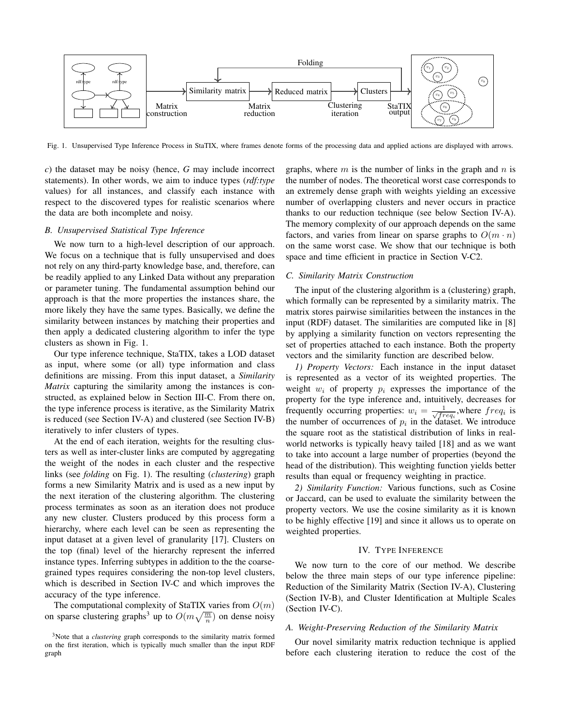

Fig. 1. Unsupervised Type Inference Process in StaTIX, where frames denote forms of the processing data and applied actions are displayed with arrows.

*c*) the dataset may be noisy (hence, *G* may include incorrect statements). In other words, we aim to induce types (*rdf:type* values) for all instances, and classify each instance with respect to the discovered types for realistic scenarios where the data are both incomplete and noisy.

# *B. Unsupervised Statistical Type Inference*

We now turn to a high-level description of our approach. We focus on a technique that is fully unsupervised and does not rely on any third-party knowledge base, and, therefore, can be readily applied to any Linked Data without any preparation or parameter tuning. The fundamental assumption behind our approach is that the more properties the instances share, the more likely they have the same types. Basically, we define the similarity between instances by matching their properties and then apply a dedicated clustering algorithm to infer the type clusters as shown in Fig. 1.

Our type inference technique, StaTIX, takes a LOD dataset as input, where some (or all) type information and class definitions are missing. From this input dataset, a *Similarity Matrix* capturing the similarity among the instances is constructed, as explained below in Section III-C. From there on, the type inference process is iterative, as the Similarity Matrix is reduced (see Section IV-A) and clustered (see Section IV-B) iteratively to infer clusters of types.

At the end of each iteration, weights for the resulting clusters as well as inter-cluster links are computed by aggregating the weight of the nodes in each cluster and the respective links (see *folding* on Fig. 1). The resulting (*clustering*) graph forms a new Similarity Matrix and is used as a new input by the next iteration of the clustering algorithm. The clustering process terminates as soon as an iteration does not produce any new cluster. Clusters produced by this process form a hierarchy, where each level can be seen as representing the input dataset at a given level of granularity [17]. Clusters on the top (final) level of the hierarchy represent the inferred instance types. Inferring subtypes in addition to the the coarsegrained types requires considering the non-top level clusters, which is described in Section IV-C and which improves the accuracy of the type inference.

The computational complexity of StaTIX varies from  $O(m)$ on sparse clustering graphs<sup>3</sup> up to  $O(m\sqrt{\frac{m}{n}})$  on dense noisy graphs, where  $m$  is the number of links in the graph and  $n$  is the number of nodes. The theoretical worst case corresponds to an extremely dense graph with weights yielding an excessive number of overlapping clusters and never occurs in practice thanks to our reduction technique (see below Section IV-A). The memory complexity of our approach depends on the same factors, and varies from linear on sparse graphs to  $O(m \cdot n)$ on the same worst case. We show that our technique is both space and time efficient in practice in Section V-C2.

# *C. Similarity Matrix Construction*

The input of the clustering algorithm is a (clustering) graph, which formally can be represented by a similarity matrix. The matrix stores pairwise similarities between the instances in the input (RDF) dataset. The similarities are computed like in [8] by applying a similarity function on vectors representing the set of properties attached to each instance. Both the property vectors and the similarity function are described below.

*1) Property Vectors:* Each instance in the input dataset is represented as a vector of its weighted properties. The weight  $w_i$  of property  $p_i$  expresses the importance of the property for the type inference and, intuitively, decreases for frequently occurring properties:  $w_i = \frac{1}{\sqrt{freq_i}}$ , where  $freq_i$  is the number of occurrences of  $p_i$  in the dataset. We introduce the square root as the statistical distribution of links in realworld networks is typically heavy tailed [18] and as we want to take into account a large number of properties (beyond the head of the distribution). This weighting function yields better results than equal or frequency weighting in practice.

*2) Similarity Function:* Various functions, such as Cosine or Jaccard, can be used to evaluate the similarity between the property vectors. We use the cosine similarity as it is known to be highly effective [19] and since it allows us to operate on weighted properties.

#### IV. TYPE INFERENCE

We now turn to the core of our method. We describe below the three main steps of our type inference pipeline: Reduction of the Similarity Matrix (Section IV-A), Clustering (Section IV-B), and Cluster Identification at Multiple Scales (Section IV-C).

#### *A. Weight-Preserving Reduction of the Similarity Matrix*

Our novel similarity matrix reduction technique is applied before each clustering iteration to reduce the cost of the

<sup>3</sup>Note that a *clustering* graph corresponds to the similarity matrix formed on the first iteration, which is typically much smaller than the input RDF graph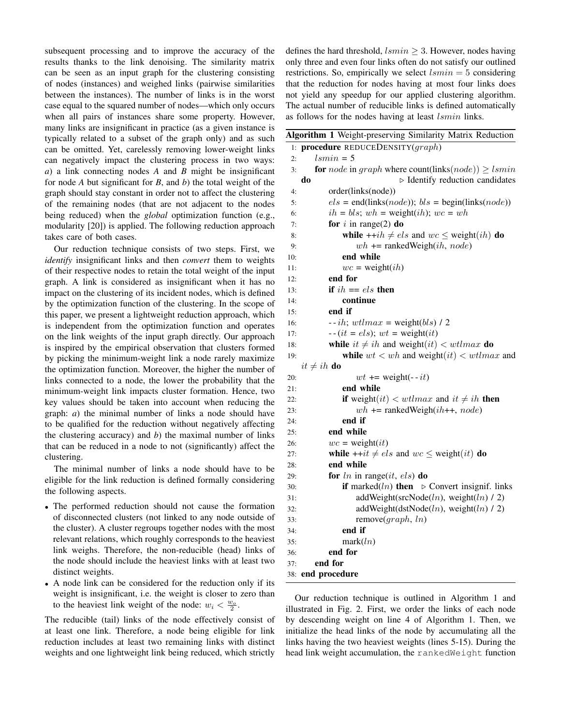subsequent processing and to improve the accuracy of the results thanks to the link denoising. The similarity matrix can be seen as an input graph for the clustering consisting of nodes (instances) and weighed links (pairwise similarities between the instances). The number of links is in the worst case equal to the squared number of nodes—which only occurs when all pairs of instances share some property. However, many links are insignificant in practice (as a given instance is typically related to a subset of the graph only) and as such can be omitted. Yet, carelessly removing lower-weight links can negatively impact the clustering process in two ways: *a*) a link connecting nodes *A* and *B* might be insignificant for node *A* but significant for *B*, and *b*) the total weight of the graph should stay constant in order not to affect the clustering of the remaining nodes (that are not adjacent to the nodes being reduced) when the *global* optimization function (e.g., modularity [20]) is applied. The following reduction approach takes care of both cases.

Our reduction technique consists of two steps. First, we *identify* insignificant links and then *convert* them to weights of their respective nodes to retain the total weight of the input graph. A link is considered as insignificant when it has no impact on the clustering of its incident nodes, which is defined by the optimization function of the clustering. In the scope of this paper, we present a lightweight reduction approach, which is independent from the optimization function and operates on the link weights of the input graph directly. Our approach is inspired by the empirical observation that clusters formed by picking the minimum-weight link a node rarely maximize the optimization function. Moreover, the higher the number of links connected to a node, the lower the probability that the minimum-weight link impacts cluster formation. Hence, two key values should be taken into account when reducing the graph: *a*) the minimal number of links a node should have to be qualified for the reduction without negatively affecting the clustering accuracy) and *b*) the maximal number of links that can be reduced in a node to not (significantly) affect the clustering.

The minimal number of links a node should have to be eligible for the link reduction is defined formally considering the following aspects.

- The performed reduction should not cause the formation of disconnected clusters (not linked to any node outside of the cluster). A cluster regroups together nodes with the most relevant relations, which roughly corresponds to the heaviest link weighs. Therefore, the non-reducible (head) links of the node should include the heaviest links with at least two distinct weights.
- A node link can be considered for the reduction only if its weight is insignificant, i.e. the weight is closer to zero than to the heaviest link weight of the node:  $w_i < \frac{w_o}{2}$ .

The reducible (tail) links of the node effectively consist of at least one link. Therefore, a node being eligible for link reduction includes at least two remaining links with distinct weights and one lightweight link being reduced, which strictly defines the hard threshold,  $l smin \geq 3$ . However, nodes having only three and even four links often do not satisfy our outlined restrictions. So, empirically we select  $l smin = 5$  considering that the reduction for nodes having at most four links does not yield any speedup for our applied clustering algorithm. The actual number of reducible links is defined automatically as follows for the nodes having at least *lsmin* links.

| Algorithm 1 Weight-preserving Similarity Matrix Reduction |                                                                                               |  |  |  |  |
|-----------------------------------------------------------|-----------------------------------------------------------------------------------------------|--|--|--|--|
|                                                           | 1: procedure REDUCEDENSITY(graph)                                                             |  |  |  |  |
| 2:                                                        | $lsmin = 5$                                                                                   |  |  |  |  |
| 3:                                                        | <b>for</b> node in graph where count(links(node)) $\geq$ lsmin                                |  |  |  |  |
|                                                           | do<br>$\triangleright$ Identify reduction candidates                                          |  |  |  |  |
| 4:                                                        | order(links(node))                                                                            |  |  |  |  |
| 5:                                                        | $els = end(links(node));$ $bls = begin(links(node))$                                          |  |  |  |  |
| 6:                                                        | $ih = bls$ ; $wh = \text{weight}(ih)$ ; $wc = wh$                                             |  |  |  |  |
| 7:                                                        | for $i$ in range(2) do                                                                        |  |  |  |  |
| 8:                                                        | while $\rightarrow +ih \neq els$ and $wc \leq weight(ih)$ do                                  |  |  |  |  |
| 9:                                                        | $wh$ += rankedWeigh $(ih, node)$                                                              |  |  |  |  |
| 10:                                                       | end while                                                                                     |  |  |  |  |
| 11:                                                       | $wc = weight(ih)$                                                                             |  |  |  |  |
| 12:                                                       | end for                                                                                       |  |  |  |  |
| 13:                                                       | if $ih == els$ then                                                                           |  |  |  |  |
| 14:                                                       | continue                                                                                      |  |  |  |  |
| 15:                                                       | end if                                                                                        |  |  |  |  |
| 16:                                                       | $- -i\hbar$ ; wtlmax = weight(bls) / 2                                                        |  |  |  |  |
| 17:                                                       | $-$ - (it = els); wt = weight(it)                                                             |  |  |  |  |
| 18:                                                       | while $it \neq ih$ and weight $(it) < wtlmax$ do                                              |  |  |  |  |
| 19:                                                       | while $wt < wh$ and weight $(it) < wtlmax$ and                                                |  |  |  |  |
|                                                           | $it \neq ih$ do                                                                               |  |  |  |  |
| 20:                                                       | $wt$ += weight(--it)                                                                          |  |  |  |  |
| 21:                                                       | end while                                                                                     |  |  |  |  |
| 22:                                                       | <b>if</b> weight( <i>it</i> ) $\lt w$ <i>tlmax</i> and <i>it</i> $\neq$ <i>ih</i> <b>then</b> |  |  |  |  |
| 23:                                                       | $wh$ += rankedWeigh $(ih$ ++, node)                                                           |  |  |  |  |
| 24:                                                       | end if<br>end while                                                                           |  |  |  |  |
| 25:                                                       |                                                                                               |  |  |  |  |
| 26:                                                       | $wc = weight(it)$<br>while $++it \neq els$ and $wc \leq weight(it)$ do                        |  |  |  |  |
| 27:<br>28:                                                | end while                                                                                     |  |  |  |  |
| 29:                                                       | for $ln$ in range(it, els) do                                                                 |  |  |  |  |
| 30:                                                       | <b>if</b> marked(ln) <b>then</b> $\triangleright$ Convert insignif. links                     |  |  |  |  |
| 31:                                                       | addWeight(srcNode(ln), weight(ln) / 2)                                                        |  |  |  |  |
| 32:                                                       | addWeight(dstNode(ln), weight(ln) / 2)                                                        |  |  |  |  |
| 33:                                                       | remove(graph, ln)                                                                             |  |  |  |  |
| 34:                                                       | end if                                                                                        |  |  |  |  |
| 35:                                                       | mark(ln)                                                                                      |  |  |  |  |
| 36:                                                       | end for                                                                                       |  |  |  |  |
| 37:                                                       | end for                                                                                       |  |  |  |  |
| 38:                                                       | end procedure                                                                                 |  |  |  |  |

Our reduction technique is outlined in Algorithm 1 and illustrated in Fig. 2. First, we order the links of each node by descending weight on line 4 of Algorithm 1. Then, we initialize the head links of the node by accumulating all the links having the two heaviest weights (lines 5-15). During the head link weight accumulation, the rankedWeight function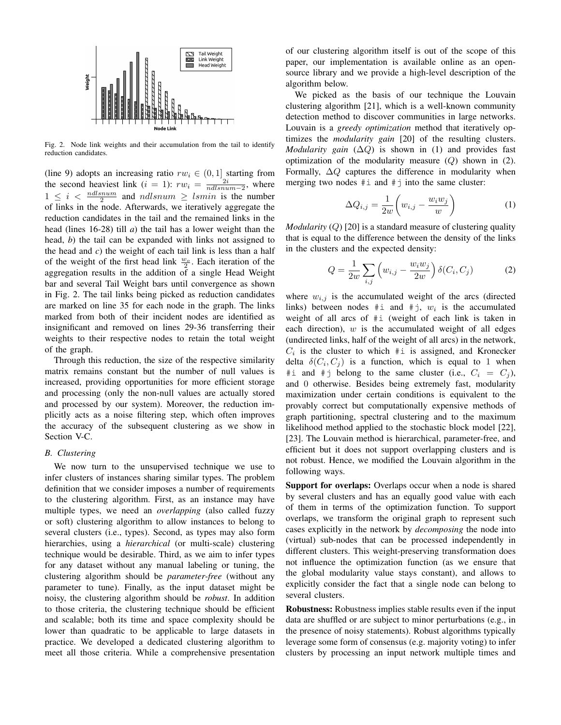

Fig. 2. Node link weights and their accumulation from the tail to identify reduction candidates.

(line 9) adopts an increasing ratio  $rw_i \in (0, 1]$  starting from the second heaviest link  $(i = 1)$ :  $rw_i = \frac{2i}{ndlsnum-2}$ , where  $1 \leq i < \frac{ndlsnum}{2}$  and  $ndlsnum \geq lsmin$  is the number of links in the node. Afterwards, we iteratively aggregate the reduction candidates in the tail and the remained links in the head (lines 16-28) till *a*) the tail has a lower weight than the head, *b*) the tail can be expanded with links not assigned to the head and *c*) the weight of each tail link is less than a half of the weight of the first head link  $\frac{w_o}{2}$ . Each iteration of the aggregation results in the addition of a single Head Weight bar and several Tail Weight bars until convergence as shown in Fig. 2. The tail links being picked as reduction candidates are marked on line 35 for each node in the graph. The links marked from both of their incident nodes are identified as insignificant and removed on lines 29-36 transferring their weights to their respective nodes to retain the total weight of the graph.

Through this reduction, the size of the respective similarity matrix remains constant but the number of null values is increased, providing opportunities for more efficient storage and processing (only the non-null values are actually stored and processed by our system). Moreover, the reduction implicitly acts as a noise filtering step, which often improves the accuracy of the subsequent clustering as we show in Section V-C.

# *B. Clustering*

We now turn to the unsupervised technique we use to infer clusters of instances sharing similar types. The problem definition that we consider imposes a number of requirements to the clustering algorithm. First, as an instance may have multiple types, we need an *overlapping* (also called fuzzy or soft) clustering algorithm to allow instances to belong to several clusters (i.e., types). Second, as types may also form hierarchies, using a *hierarchical* (or multi-scale) clustering technique would be desirable. Third, as we aim to infer types for any dataset without any manual labeling or tuning, the clustering algorithm should be *parameter-free* (without any parameter to tune). Finally, as the input dataset might be noisy, the clustering algorithm should be *robust*. In addition to those criteria, the clustering technique should be efficient and scalable; both its time and space complexity should be lower than quadratic to be applicable to large datasets in practice. We developed a dedicated clustering algorithm to meet all those criteria. While a comprehensive presentation

of our clustering algorithm itself is out of the scope of this paper, our implementation is available online as an opensource library and we provide a high-level description of the algorithm below.

We picked as the basis of our technique the Louvain clustering algorithm [21], which is a well-known community detection method to discover communities in large networks. Louvain is a *greedy optimization* method that iteratively optimizes the *modularity gain* [20] of the resulting clusters. *Modularity gain* (ΔQ) is shown in (1) and provides fast optimization of the modularity measure  $(Q)$  shown in  $(2)$ . Formally,  $\Delta Q$  captures the difference in modularity when merging two nodes  $\#$  i and  $\#$  into the same cluster:

$$
\Delta Q_{i,j} = \frac{1}{2w} \left( w_{i,j} - \frac{w_i w_j}{w} \right) \tag{1}
$$

*Modularity* (Q) [20] is a standard measure of clustering quality that is equal to the difference between the density of the links in the clusters and the expected density:

$$
Q = \frac{1}{2w} \sum_{i,j} \left( w_{i,j} - \frac{w_i w_j}{2w} \right) \delta(C_i, C_j)
$$
 (2)

where  $w_{i,j}$  is the accumulated weight of the arcs (directed links) between nodes  $\#$  i and  $\#$  j,  $w_i$  is the accumulated weight of all arcs of  $\#$ i (weight of each link is taken in each direction),  $w$  is the accumulated weight of all edges (undirected links, half of the weight of all arcs) in the network,  $C_i$  is the cluster to which #i is assigned, and Kronecker delta  $\delta(C_i, C_j)$  is a function, which is equal to 1 when #i and #j belong to the same cluster (i.e.,  $C_i = C_j$ ), and 0 otherwise. Besides being extremely fast, modularity maximization under certain conditions is equivalent to the provably correct but computationally expensive methods of graph partitioning, spectral clustering and to the maximum likelihood method applied to the stochastic block model [22], [23]. The Louvain method is hierarchical, parameter-free, and efficient but it does not support overlapping clusters and is not robust. Hence, we modified the Louvain algorithm in the following ways.

Support for overlaps: Overlaps occur when a node is shared by several clusters and has an equally good value with each of them in terms of the optimization function. To support overlaps, we transform the original graph to represent such cases explicitly in the network by *decomposing* the node into (virtual) sub-nodes that can be processed independently in different clusters. This weight-preserving transformation does not influence the optimization function (as we ensure that the global modularity value stays constant), and allows to explicitly consider the fact that a single node can belong to several clusters.

Robustness: Robustness implies stable results even if the input data are shuffled or are subject to minor perturbations (e.g., in the presence of noisy statements). Robust algorithms typically leverage some form of consensus (e.g. majority voting) to infer clusters by processing an input network multiple times and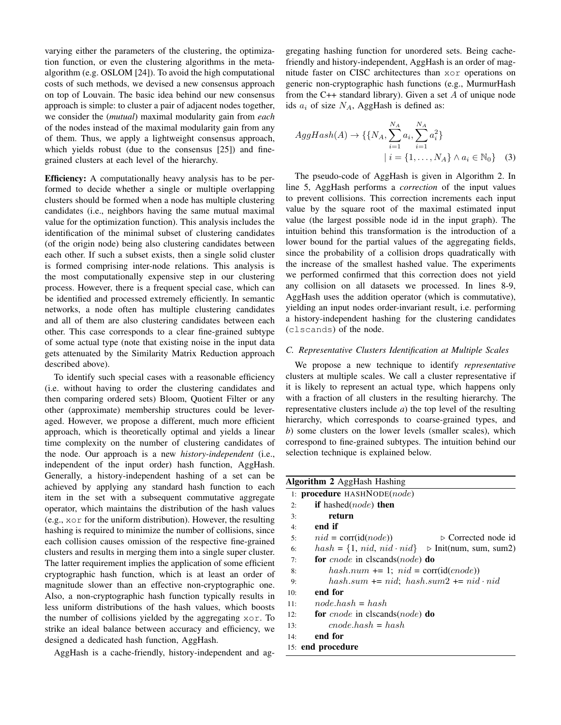varying either the parameters of the clustering, the optimization function, or even the clustering algorithms in the metaalgorithm (e.g. OSLOM [24]). To avoid the high computational costs of such methods, we devised a new consensus approach on top of Louvain. The basic idea behind our new consensus approach is simple: to cluster a pair of adjacent nodes together, we consider the (*mutual*) maximal modularity gain from *each* of the nodes instead of the maximal modularity gain from any of them. Thus, we apply a lightweight consensus approach, which yields robust (due to the consensus [25]) and finegrained clusters at each level of the hierarchy.

Efficiency: A computationally heavy analysis has to be performed to decide whether a single or multiple overlapping clusters should be formed when a node has multiple clustering candidates (i.e., neighbors having the same mutual maximal value for the optimization function). This analysis includes the identification of the minimal subset of clustering candidates (of the origin node) being also clustering candidates between each other. If such a subset exists, then a single solid cluster is formed comprising inter-node relations. This analysis is the most computationally expensive step in our clustering process. However, there is a frequent special case, which can be identified and processed extremely efficiently. In semantic networks, a node often has multiple clustering candidates and all of them are also clustering candidates between each other. This case corresponds to a clear fine-grained subtype of some actual type (note that existing noise in the input data gets attenuated by the Similarity Matrix Reduction approach described above).

To identify such special cases with a reasonable efficiency (i.e. without having to order the clustering candidates and then comparing ordered sets) Bloom, Quotient Filter or any other (approximate) membership structures could be leveraged. However, we propose a different, much more efficient approach, which is theoretically optimal and yields a linear time complexity on the number of clustering candidates of the node. Our approach is a new *history-independent* (i.e., independent of the input order) hash function, AggHash. Generally, a history-independent hashing of a set can be achieved by applying any standard hash function to each item in the set with a subsequent commutative aggregate operator, which maintains the distribution of the hash values (e.g., xor for the uniform distribution). However, the resulting hashing is required to minimize the number of collisions, since each collision causes omission of the respective fine-grained clusters and results in merging them into a single super cluster. The latter requirement implies the application of some efficient cryptographic hash function, which is at least an order of magnitude slower than an effective non-cryptographic one. Also, a non-cryptographic hash function typically results in less uniform distributions of the hash values, which boosts the number of collisions yielded by the aggregating xor. To strike an ideal balance between accuracy and efficiency, we designed a dedicated hash function, AggHash.

AggHash is a cache-friendly, history-independent and ag-

gregating hashing function for unordered sets. Being cachefriendly and history-independent, AggHash is an order of magnitude faster on CISC architectures than xor operations on generic non-cryptographic hash functions (e.g., MurmurHash from the C++ standard library). Given a set  $A$  of unique node ids  $a_i$  of size  $N_A$ , AggHash is defined as:

$$
AggHash(A) \to \{\{N_A, \sum_{i=1}^{N_A} a_i, \sum_{i=1}^{N_A} a_i^2\}
$$
  
 
$$
i = \{1, ..., N_A\} \land a_i \in \mathbb{N}_0\}
$$
 (3)

The pseudo-code of AggHash is given in Algorithm 2. In line 5, AggHash performs a *correction* of the input values to prevent collisions. This correction increments each input value by the square root of the maximal estimated input value (the largest possible node id in the input graph). The intuition behind this transformation is the introduction of a lower bound for the partial values of the aggregating fields, since the probability of a collision drops quadratically with the increase of the smallest hashed value. The experiments we performed confirmed that this correction does not yield any collision on all datasets we processed. In lines 8-9, AggHash uses the addition operator (which is commutative), yielding an input nodes order-invariant result, i.e. performing a history-independent hashing for the clustering candidates (clscands) of the node.

#### *C. Representative Clusters Identification at Multiple Scales*

We propose a new technique to identify *representative* clusters at multiple scales. We call a cluster representative if it is likely to represent an actual type, which happens only with a fraction of all clusters in the resulting hierarchy. The representative clusters include *a*) the top level of the resulting hierarchy, which corresponds to coarse-grained types, and *b*) some clusters on the lower levels (smaller scales), which correspond to fine-grained subtypes. The intuition behind our selection technique is explained below.

|     | <b>Algorithm 2</b> AggHash Hashing                                                             |
|-----|------------------------------------------------------------------------------------------------|
|     | 1: <b>procedure</b> HASHNODE( <i>node</i> )                                                    |
| 2:  | <b>if</b> hashed( <i>node</i> ) <b>then</b>                                                    |
| 3:  | return                                                                                         |
| 4:  | end if                                                                                         |
| 5:  | $nid = \text{corr}(id(node))$<br>$\triangleright$ Corrected node id                            |
| 6:  | $hash = \{1, \text{nid}, \text{nid} \cdot \text{nid}\}\$ $\triangleright$ Init(num, sum, sum2) |
| 7:  | <b>for</b> cnode in clscands(node) <b>do</b>                                                   |
| 8:  | hash.num += 1; nid = corr(id(cnode))                                                           |
| 9:  | $hash.sum \leftarrow mid; hash.sum2 \leftarrow mid \cdot nid$                                  |
| 10: | end for                                                                                        |
| 11: | $node hash = hash$                                                                             |
| 12: | <b>for</b> cnode in clscands(node) <b>do</b>                                                   |
| 13: | $\mathit{cnode}$ , has $h = \mathit{hash}$                                                     |
| 14: | end for                                                                                        |
|     | 15: end procedure                                                                              |
|     |                                                                                                |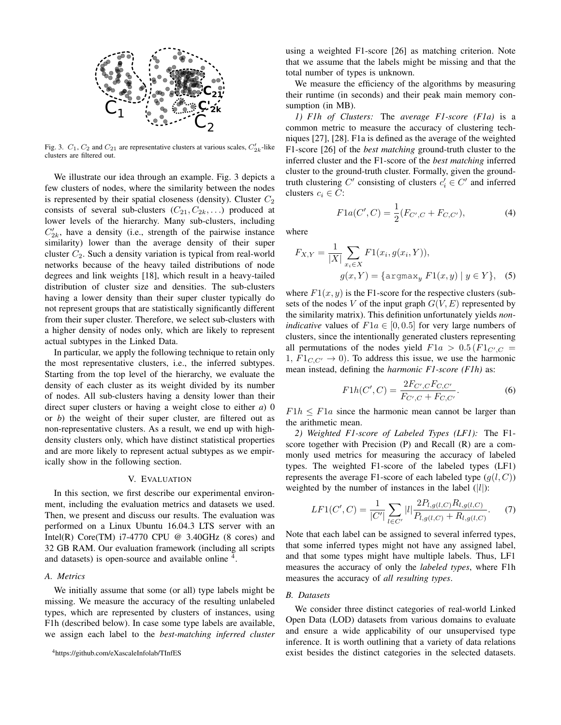

Fig. 3.  $C_1$ ,  $C_2$  and  $C_{21}$  are representative clusters at various scales,  $C'_{2k}$ -like clusters are filtered out.

We illustrate our idea through an example. Fig. 3 depicts a few clusters of nodes, where the similarity between the nodes is represented by their spatial closeness (density). Cluster  $C_2$ consists of several sub-clusters  $(C_{21}, C_{2k}, ...)$  produced at lower levels of the hierarchy. Many sub-clusters, including  $C'_{2k}$ , have a density (i.e., strength of the pairwise instance similarity) lower than the average density of their super cluster  $C_2$ . Such a density variation is typical from real-world networks because of the heavy tailed distributions of node degrees and link weights [18], which result in a heavy-tailed distribution of cluster size and densities. The sub-clusters having a lower density than their super cluster typically do not represent groups that are statistically significantly different from their super cluster. Therefore, we select sub-clusters with a higher density of nodes only, which are likely to represent actual subtypes in the Linked Data.

In particular, we apply the following technique to retain only the most representative clusters, i.e., the inferred subtypes. Starting from the top level of the hierarchy, we evaluate the density of each cluster as its weight divided by its number of nodes. All sub-clusters having a density lower than their direct super clusters or having a weight close to either *a*) 0 or *b*) the weight of their super cluster, are filtered out as non-representative clusters. As a result, we end up with highdensity clusters only, which have distinct statistical properties and are more likely to represent actual subtypes as we empirically show in the following section.

#### V. EVALUATION

In this section, we first describe our experimental environment, including the evaluation metrics and datasets we used. Then, we present and discuss our results. The evaluation was performed on a Linux Ubuntu 16.04.3 LTS server with an Intel(R) Core(TM)  $i7-4770$  CPU @ 3.40GHz (8 cores) and 32 GB RAM. Our evaluation framework (including all scripts and datasets) is open-source and available online <sup>4</sup>.

#### *A. Metrics*

We initially assume that some (or all) type labels might be missing. We measure the accuracy of the resulting unlabeled types, which are represented by clusters of instances, using F1h (described below). In case some type labels are available, we assign each label to the *best-matching inferred cluster*

<sup>4</sup>https://github.com/eXascaleInfolab/TInfES

using a weighted F1-score [26] as matching criterion. Note that we assume that the labels might be missing and that the total number of types is unknown.

We measure the efficiency of the algorithms by measuring their runtime (in seconds) and their peak main memory consumption (in MB).

*1) F1h of Clusters:* The *average F1-score (F1a)* is a common metric to measure the accuracy of clustering techniques [27], [28]. F1a is defined as the average of the weighted F1-score [26] of the *best matching* ground-truth cluster to the inferred cluster and the F1-score of the *best matching* inferred cluster to the ground-truth cluster. Formally, given the groundtruth clustering  $C'$  consisting of clusters  $c'_i \in C'$  and inferred clusters  $c_i \in C$ :

where

$$
F_{X,Y} = \frac{1}{|X|} \sum_{x_i \in X} F1(x_i, g(x_i, Y)),
$$
  
 
$$
g(x, Y) = \{ \argmax_y F1(x, y) \mid y \in Y \}, \quad (5)
$$

 $F1a(C', C) = \frac{1}{2}(F_{C', C} + F_{C, C'}),$  (4)

where  $F1(x, y)$  is the F1-score for the respective clusters (subsets of the nodes V of the input graph  $G(V, E)$  represented by the similarity matrix). This definition unfortunately yields *nonindicative* values of  $F1a \in [0, 0.5]$  for very large numbers of clusters, since the intentionally generated clusters representing all permutations of the nodes yield  $F1a > 0.5 (F1_{C',C}$ 1,  $F1_{C,C'} \rightarrow 0$ ). To address this issue, we use the harmonic mean instead, defining the *harmonic F1-score (F1h)* as:

$$
F1h(C',C) = \frac{2F_{C',C}F_{C,C'}}{F_{C',C} + F_{C,C'}}.
$$
\n(6)

 $F1h \leq F1a$  since the harmonic mean cannot be larger than the arithmetic mean.

*2) Weighted F1-score of Labeled Types (LF1):* The F1 score together with Precision (P) and Recall (R) are a commonly used metrics for measuring the accuracy of labeled types. The weighted F1-score of the labeled types (LF1) represents the average F1-score of each labeled type  $(g(l, C))$ weighted by the number of instances in the label  $(|l|)$ :

$$
LF1(C', C) = \frac{1}{|C'|} \sum_{l \in C'} |l| \frac{2P_{l,g(l,C)}R_{l,g(l,C)}}{P_{l,g(l,C)} + R_{l,g(l,C)}}.
$$
 (7)

Note that each label can be assigned to several inferred types, that some inferred types might not have any assigned label, and that some types might have multiple labels. Thus, LF1 measures the accuracy of only the *labeled types*, where F1h measures the accuracy of *all resulting types*.

# *B. Datasets*

We consider three distinct categories of real-world Linked Open Data (LOD) datasets from various domains to evaluate and ensure a wide applicability of our unsupervised type inference. It is worth outlining that a variety of data relations exist besides the distinct categories in the selected datasets.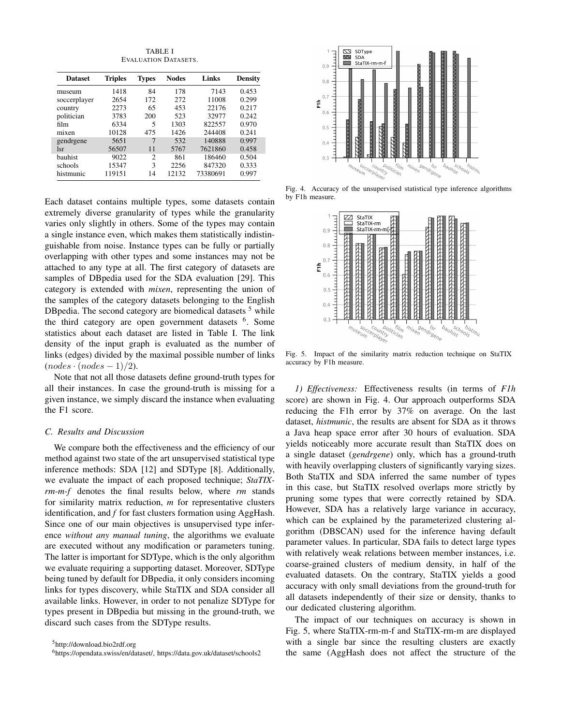TABLE I EVALUATION DATASETS.

| <b>Dataset</b> | <b>Triples</b> | <b>Types</b>   | <b>Nodes</b> | Links    | <b>Density</b> |
|----------------|----------------|----------------|--------------|----------|----------------|
| museum         | 1418           | 84             | 178          | 7143     | 0.453          |
| soccerplayer   | 2654           | 172            | 272          | 11008    | 0.299          |
| country        | 2273           | 65             | 453          | 22176    | 0.217          |
| politician     | 3783           | 200            | 523          | 32977    | 0.242          |
| film           | 6334           | 5              | 1303         | 822557   | 0.970          |
| mixen          | 10128          | 475            | 1426         | 244408   | 0.241          |
| gendrgene      | 5651           | 7              | 532          | 140888   | 0.997          |
| <sub>lsr</sub> | 56507          | 11             | 5767         | 7621860  | 0.458          |
| bauhist        | 9022           | $\overline{c}$ | 861          | 186460   | 0.504          |
| schools        | 15347          | 3              | 2256         | 847320   | 0.333          |
| histmunic      | 119151         | 14             | 12132        | 73380691 | 0.997          |

Each dataset contains multiple types, some datasets contain extremely diverse granularity of types while the granularity varies only slightly in others. Some of the types may contain a single instance even, which makes them statistically indistinguishable from noise. Instance types can be fully or partially overlapping with other types and some instances may not be attached to any type at all. The first category of datasets are samples of DBpedia used for the SDA evaluation [29]. This category is extended with *mixen*, representing the union of the samples of the category datasets belonging to the English DB pedia. The second category are biomedical datasets  $5$  while the third category are open government datasets <sup>6</sup>. Some statistics about each dataset are listed in Table I. The link density of the input graph is evaluated as the number of links (edges) divided by the maximal possible number of links  $(nodes \cdot (nodes - 1)/2).$ 

Note that not all those datasets define ground-truth types for all their instances. In case the ground-truth is missing for a given instance, we simply discard the instance when evaluating the F1 score.

# *C. Results and Discussion*

We compare both the effectiveness and the efficiency of our method against two state of the art unsupervised statistical type inference methods: SDA [12] and SDType [8]. Additionally, we evaluate the impact of each proposed technique; *StaTIXrm-m-f* denotes the final results below, where *rm* stands for similarity matrix reduction, *m* for representative clusters identification, and *f* for fast clusters formation using AggHash. Since one of our main objectives is unsupervised type inference *without any manual tuning*, the algorithms we evaluate are executed without any modification or parameters tuning. The latter is important for SDType, which is the only algorithm we evaluate requiring a supporting dataset. Moreover, SDType being tuned by default for DBpedia, it only considers incoming links for types discovery, while StaTIX and SDA consider all available links. However, in order to not penalize SDType for types present in DBpedia but missing in the ground-truth, we discard such cases from the SDType results.



Fig. 4. Accuracy of the unsupervised statistical type inference algorithms by F1h measure.



Fig. 5. Impact of the similarity matrix reduction technique on StaTIX accuracy by F1h measure.

*1) Effectiveness:* Effectiveness results (in terms of *F1h* score) are shown in Fig. 4. Our approach outperforms SDA reducing the F1h error by 37% on average. On the last dataset, *histmunic*, the results are absent for SDA as it throws a Java heap space error after 30 hours of evaluation. SDA yields noticeably more accurate result than StaTIX does on a single dataset (*gendrgene*) only, which has a ground-truth with heavily overlapping clusters of significantly varying sizes. Both StaTIX and SDA inferred the same number of types in this case, but StaTIX resolved overlaps more strictly by pruning some types that were correctly retained by SDA. However, SDA has a relatively large variance in accuracy, which can be explained by the parameterized clustering algorithm (DBSCAN) used for the inference having default parameter values. In particular, SDA fails to detect large types with relatively weak relations between member instances, i.e. coarse-grained clusters of medium density, in half of the evaluated datasets. On the contrary, StaTIX yields a good accuracy with only small deviations from the ground-truth for all datasets independently of their size or density, thanks to our dedicated clustering algorithm.

The impact of our techniques on accuracy is shown in Fig. 5, where StaTIX-rm-m-f and StaTIX-rm-m are displayed with a single bar since the resulting clusters are exactly the same (AggHash does not affect the structure of the

<sup>5</sup>http://download.bio2rdf.org

<sup>6</sup>https://opendata.swiss/en/dataset/, https://data.gov.uk/dataset/schools2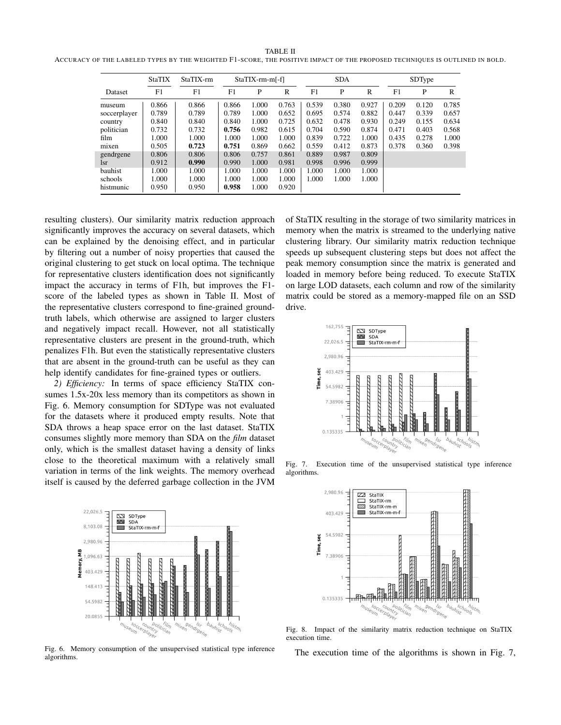TABLE II ACCURACY OF THE LABELED TYPES BY THE WEIGHTED F1-SCORE, THE POSITIVE IMPACT OF THE PROPOSED TECHNIQUES IS OUTLINED IN BOLD.

|                | <b>StaTIX</b>  | StaTIX-rm | StaTIX-rm-m[-f] |       | <b>SDA</b> |       |       | SDType |       |       |       |
|----------------|----------------|-----------|-----------------|-------|------------|-------|-------|--------|-------|-------|-------|
| Dataset        | F <sub>1</sub> | F1        | F <sub>1</sub>  | P     | R          | F1    | P     | R      | F1    | P     | R     |
| museum         | 0.866          | 0.866     | 0.866           | 1.000 | 0.763      | 0.539 | 0.380 | 0.927  | 0.209 | 0.120 | 0.785 |
| soccerplayer   | 0.789          | 0.789     | 0.789           | 1.000 | 0.652      | 0.695 | 0.574 | 0.882  | 0.447 | 0.339 | 0.657 |
| country        | 0.840          | 0.840     | 0.840           | 1.000 | 0.725      | 0.632 | 0.478 | 0.930  | 0.249 | 0.155 | 0.634 |
| politician     | 0.732          | 0.732     | 0.756           | 0.982 | 0.615      | 0.704 | 0.590 | 0.874  | 0.471 | 0.403 | 0.568 |
| film           | 1.000          | 1.000     | 1.000           | 1.000 | 1.000      | 0.839 | 0.722 | 1.000  | 0.435 | 0.278 | 1.000 |
| mixen          | 0.505          | 0.723     | 0.751           | 0.869 | 0.662      | 0.559 | 0.412 | 0.873  | 0.378 | 0.360 | 0.398 |
| gendrgene      | 0.806          | 0.806     | 0.806           | 0.757 | 0.861      | 0.889 | 0.987 | 0.809  |       |       |       |
| <sub>lsr</sub> | 0.912          | 0.990     | 0.990           | 1.000 | 0.981      | 0.998 | 0.996 | 0.999  |       |       |       |
| bauhist        | 1.000          | 1.000     | 1.000           | 1.000 | 1.000      | 1.000 | 1.000 | 1.000  |       |       |       |
| schools        | 1.000          | 1.000     | 1.000           | 1.000 | 1.000      | 1.000 | 1.000 | 1.000  |       |       |       |
| histmunic      | 0.950          | 0.950     | 0.958           | 1.000 | 0.920      |       |       |        |       |       |       |

resulting clusters). Our similarity matrix reduction approach significantly improves the accuracy on several datasets, which can be explained by the denoising effect, and in particular by filtering out a number of noisy properties that caused the original clustering to get stuck on local optima. The technique for representative clusters identification does not significantly impact the accuracy in terms of F1h, but improves the F1 score of the labeled types as shown in Table II. Most of the representative clusters correspond to fine-grained groundtruth labels, which otherwise are assigned to larger clusters and negatively impact recall. However, not all statistically representative clusters are present in the ground-truth, which penalizes F1h. But even the statistically representative clusters that are absent in the ground-truth can be useful as they can help identify candidates for fine-grained types or outliers.

*2) Efficiency:* In terms of space efficiency StaTIX consumes 1.5x-20x less memory than its competitors as shown in Fig. 6. Memory consumption for SDType was not evaluated for the datasets where it produced empty results. Note that SDA throws a heap space error on the last dataset. StaTIX consumes slightly more memory than SDA on the *film* dataset only, which is the smallest dataset having a density of links close to the theoretical maximum with a relatively small variation in terms of the link weights. The memory overhead itself is caused by the deferred garbage collection in the JVM



Fig. 6. Memory consumption of the unsupervised statistical type inference algorithms.

of StaTIX resulting in the storage of two similarity matrices in memory when the matrix is streamed to the underlying native clustering library. Our similarity matrix reduction technique speeds up subsequent clustering steps but does not affect the peak memory consumption since the matrix is generated and loaded in memory before being reduced. To execute StaTIX on large LOD datasets, each column and row of the similarity matrix could be stored as a memory-mapped file on an SSD drive.



Fig. 7. Execution time of the unsupervised statistical type inference algorithms.



Fig. 8. Impact of the similarity matrix reduction technique on StaTIX execution time.

The execution time of the algorithms is shown in Fig. 7,